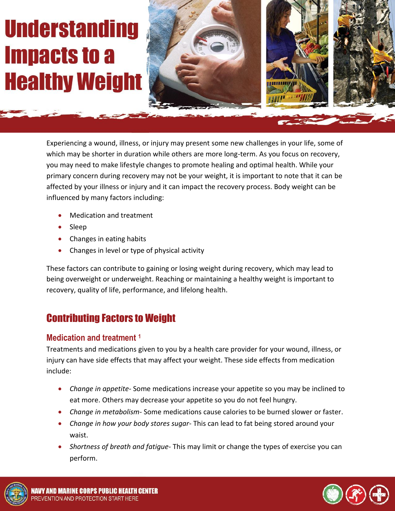# **Understanding Impacts to a Healthy Weight**



Experiencing a wound, illness, or injury may present some new challenges in your life, some of which may be shorter in duration while others are more long-term. As you focus on recovery, you may need to make lifestyle changes to promote healing and optimal health. While your primary concern during recovery may not be your weight, it is important to note that it can be affected by your illness or injury and it can impact the recovery process. Body weight can be influenced by many factors including:

- Medication and treatment
- Sleep
- Changes in eating habits
- Changes in level or type of physical activity

These factors can contribute to gaining or losing weight during recovery, which may lead to being overweight or underweight. Reaching or maintaining a healthy weight is important to recovery, quality of life, performance, and lifelong health.

# Contributing Factors to Weight

#### **Medication and treatment <sup>1</sup>**

Treatments and medications given to you by a health care provider for your wound, illness, or injury can have side effects that may affect your weight. These side effects from medication include:

- *Change in appetite-* Some medications increase your appetite so you may be inclined to eat more. Others may decrease your appetite so you do not feel hungry.
- *Change in metabolism-* Some medications cause calories to be burned slower or faster.
- *Change in how your body stores sugar-* This can lead to fat being stored around your waist.
- *Shortness of breath and fatigue* This may limit or change the types of exercise you can perform.



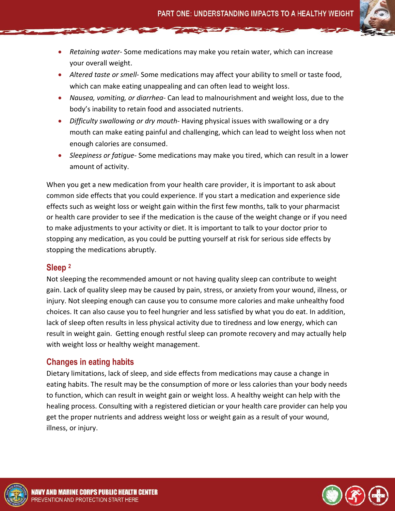- *Retaining water* Some medications may make you retain water, which can increase your overall weight.
- *Altered taste or smell* Some medications may affect your ability to smell or taste food, which can make eating unappealing and can often lead to weight loss.
- *Nausea, vomiting, or diarrhea* Can lead to malnourishment and weight loss, due to the body's inability to retain food and associated nutrients.
- *Difficulty swallowing or dry mouth* Having physical issues with swallowing or a dry mouth can make eating painful and challenging, which can lead to weight loss when not enough calories are consumed.
- *Sleepiness or fatigue* Some medications may make you tired, which can result in a lower amount of activity.

When you get a new medication from your health care provider, it is important to ask about common side effects that you could experience. If you start a medication and experience side effects such as weight loss or weight gain within the first few months, talk to your pharmacist or health care provider to see if the medication is the cause of the weight change or if you need to make adjustments to your activity or diet. It is important to talk to your doctor prior to stopping any medication, as you could be putting yourself at risk for serious side effects by stopping the medications abruptly.

#### **Sleep <sup>2</sup>**

Not sleeping the recommended amount or not having quality sleep can contribute to weight gain. Lack of quality sleep may be caused by pain, stress, or anxiety from your wound, illness, or injury. Not sleeping enough can cause you to consume more calories and make unhealthy food choices. It can also cause you to feel hungrier and less satisfied by what you do eat. In addition, lack of sleep often results in less physical activity due to tiredness and low energy, which can result in weight gain. Getting enough restful sleep can promote recovery and may actually help with weight loss or healthy weight management.

# **Changes in eating habits**

Dietary limitations, lack of sleep, and side effects from medications may cause a change in eating habits. The result may be the consumption of more or less calories than your body needs to function, which can result in weight gain or weight loss. A healthy weight can help with the healing process. Consulting with a registered dietician or your health care provider can help you get the proper nutrients and address weight loss or weight gain as a result of your wound, illness, or injury.